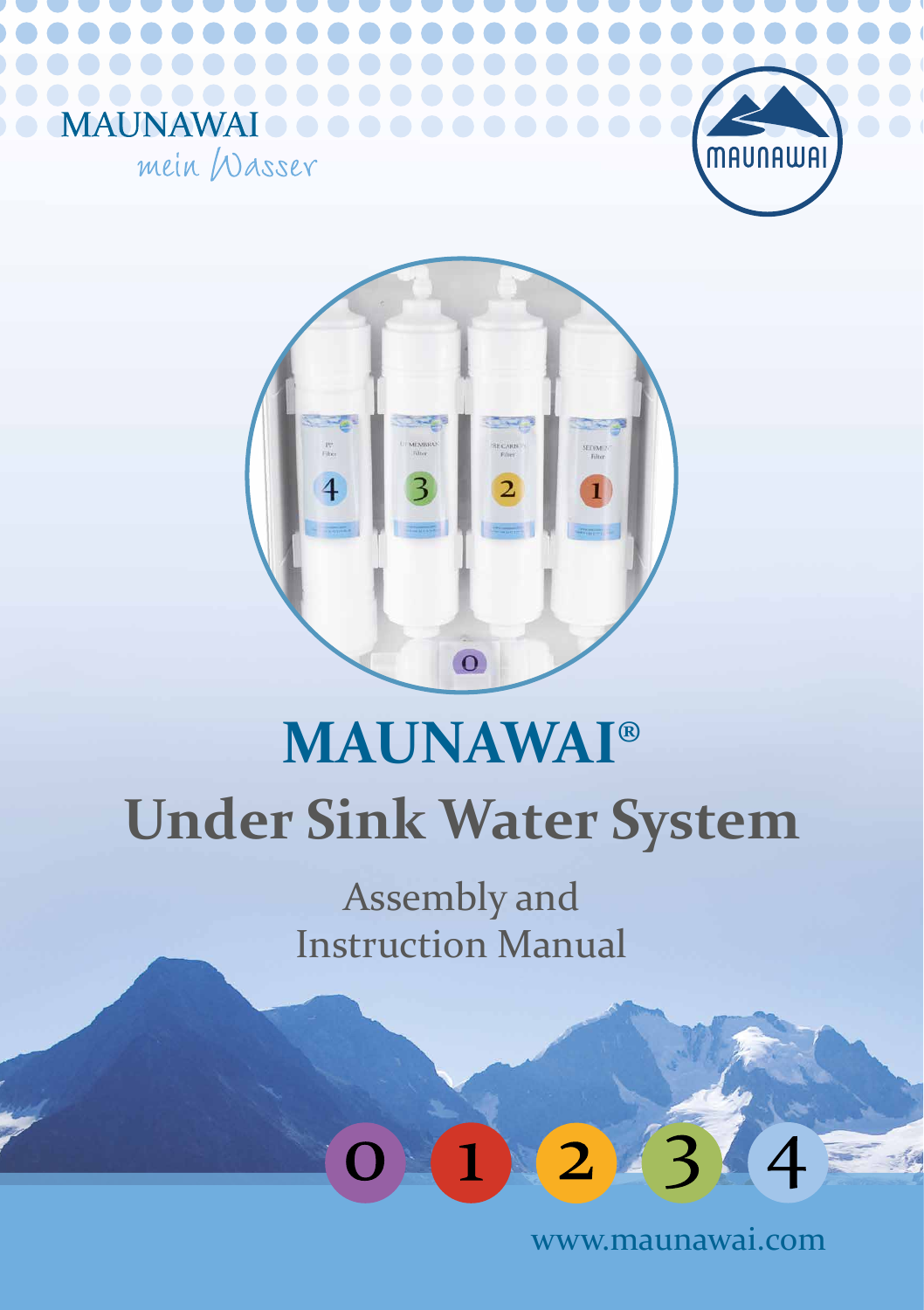



**NAWAI** 

mein Wasser

MA<sup></sup>

# **Under Sink Water System MAUNAWAI®**

Assembly and Instruction Manual



www.maunawai.com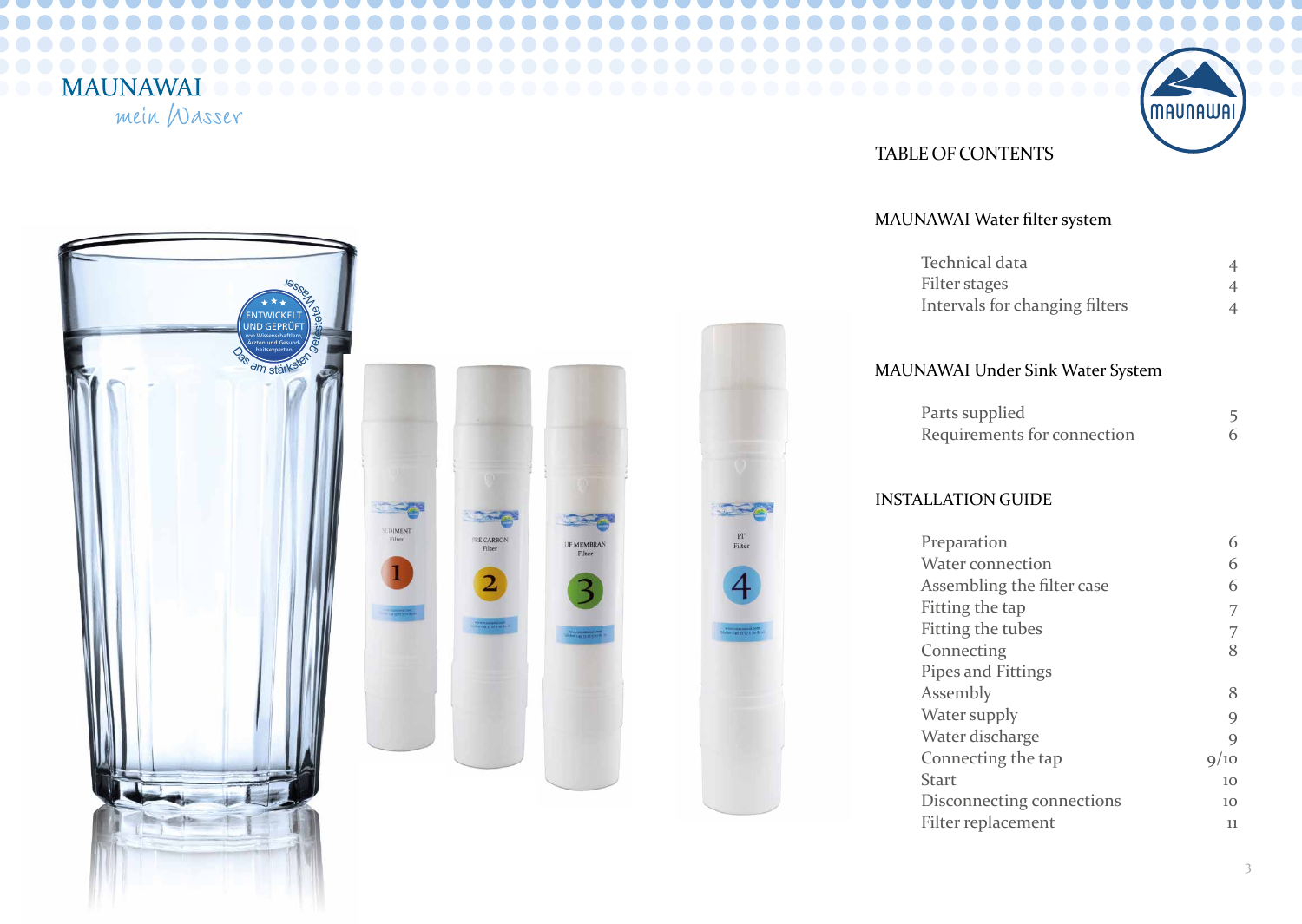## **MAUNAWAI**

mein Wasser



#### TABLE OF CONTENTS

#### MAUNAWAI Water filter system



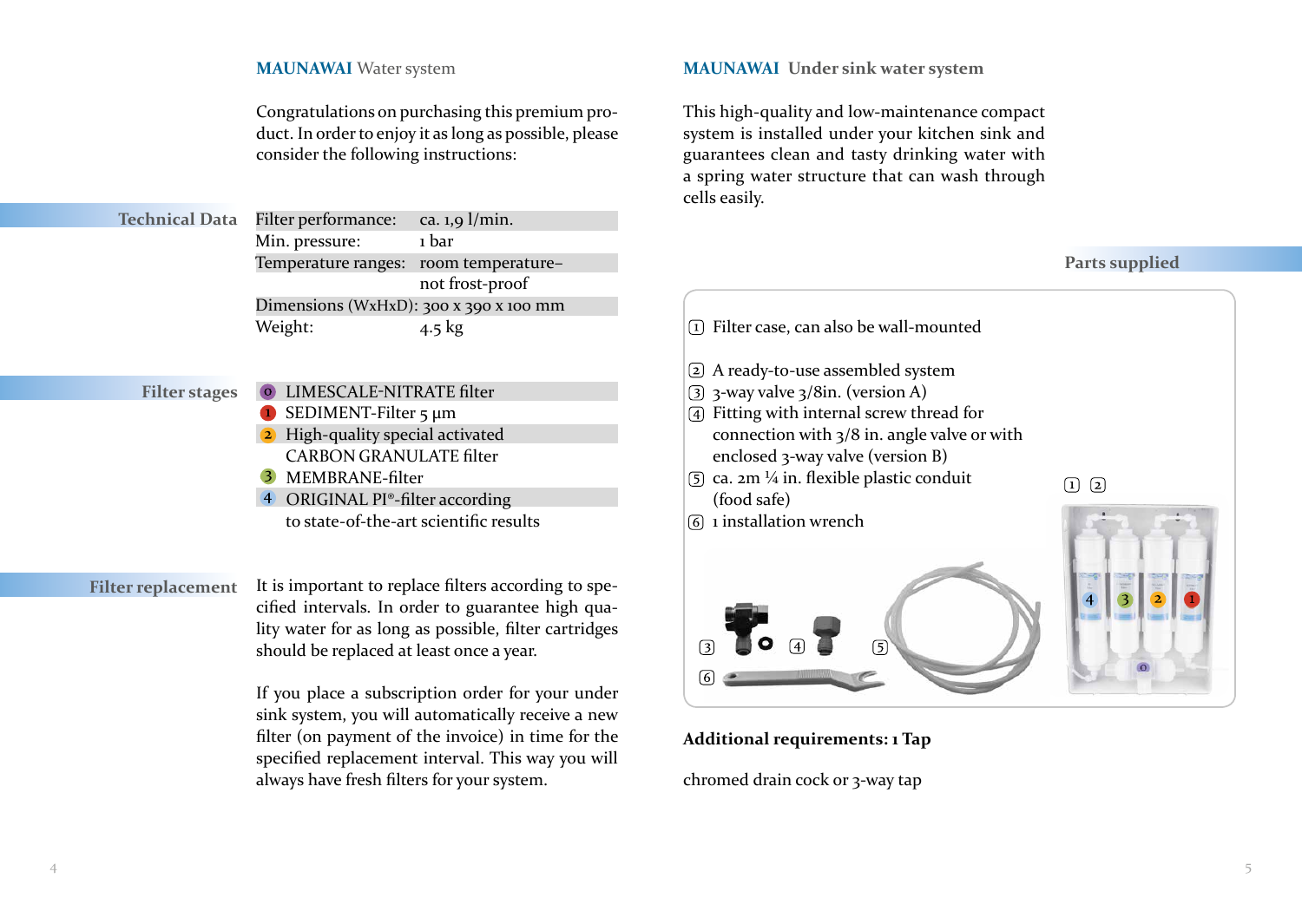#### **MAUNAWAI** Water system

Congratulations on purchasing this premium product. In order to enjoy it as long as possible, please consider the following instructions:

| <b>Technical Data</b> | Filter performance:                    | ca. $1,9$ l/min. |
|-----------------------|----------------------------------------|------------------|
|                       | Min. pressure:                         | 1 bar            |
|                       | Temperature ranges: room temperature-  |                  |
|                       |                                        | not frost-proof  |
|                       | Dimensions (WxHxD): 300 x 390 x 100 mm |                  |
|                       | Weight:                                | $4.5 \text{ kg}$ |
|                       |                                        |                  |

#### **Filter stages**

- **O** LIMESCALE-NITRATE filter SEDIMENT-Filter 5 μm 2 High-quality special activated CARBON GRANULATE filter
- MEMBRANE-filter
- 4 ORIGINAL PI®-filter according

to state-of-the-art scientific results

#### **Filter replacement**

It is important to replace filters according to specified intervals. In order to guarantee high quality water for as long as possible, filter cartridges should be replaced at least once a year.

If you place a subscription order for your under sink system, you will automatically receive a new filter (on payment of the invoice) in time for the specified replacement interval. This way you will always have fresh filters for your system.

#### **MAUNAWAI Under sink water system**

This high-quality and low-maintenance compact system is installed under your kitchen sink and guarantees clean and tasty drinking water with a spring water structure that can wash through cells easily.

#### **Parts supplied**



**Additional requirements: 1 Tap**

chromed drain cock or 3-way tap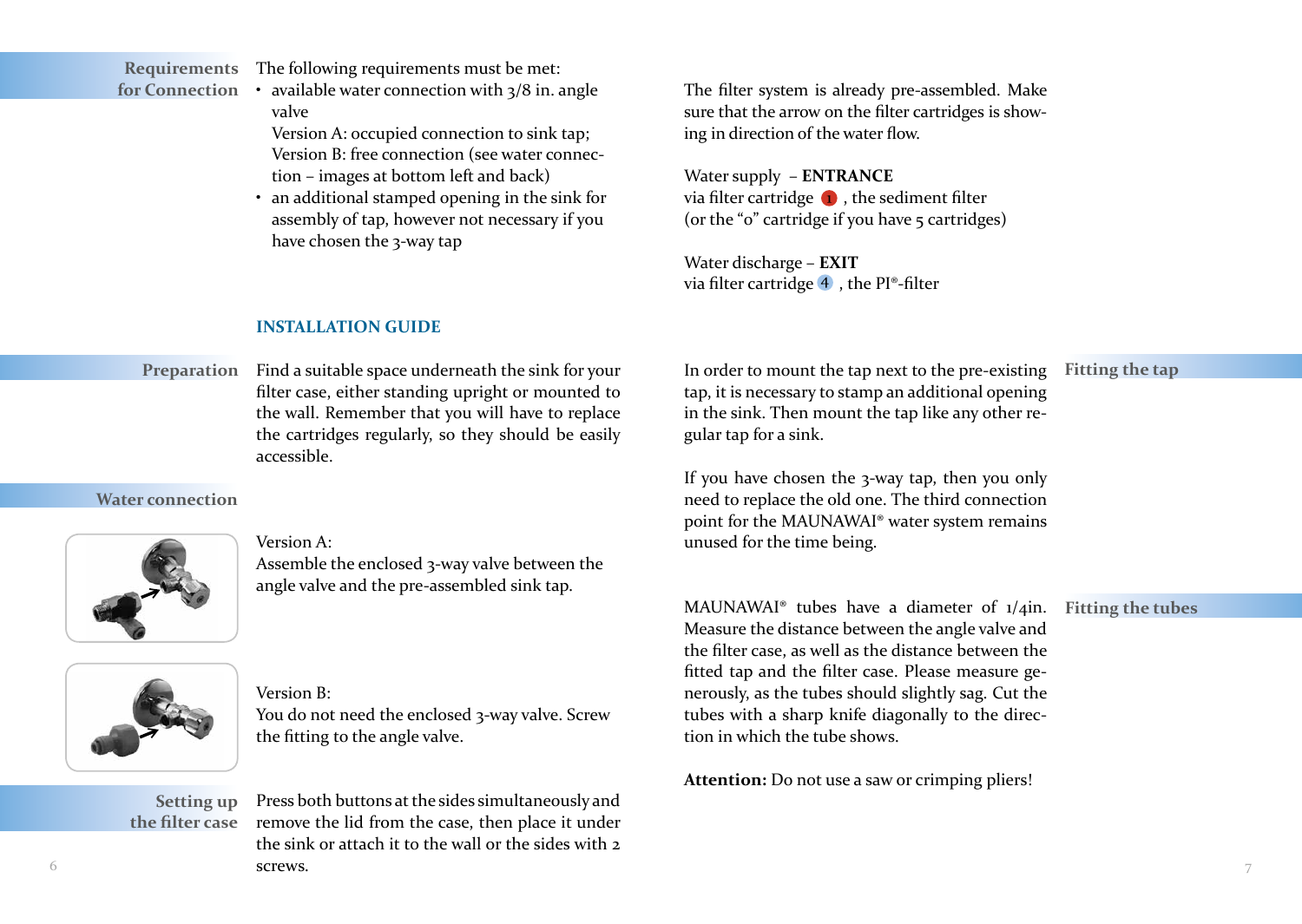The following requirements must be met: **Requirements**

- available water connection with  $\frac{3}{8}$  in. angle valve **for Connection**
	- Version A: occupied connection to sink tap; Version B: free connection (see water connection – images at bottom left and back)
	- an additional stamped opening in the sink for assembly of tap, however not necessary if you have chosen the 3-way tap

The filter system is already pre-assembled. Make sure that the arrow on the filter cartridges is showing in direction of the water flow.

Water supply – **ENTRANCE** via filter cartridge  $\bigcirc$ , the sediment filter (or the " $o$ " cartridge if you have  $\frac{1}{2}$  cartridges)

Water discharge – **EXIT** via filter cartridge  $\overline{4}$ , the PI®-filter

#### **INSTALLATION GUIDE**

**Preparation** Find a suitable space underneath the sink for your filter case, either standing upright or mounted to the wall. Remember that you will have to replace the cartridges regularly, so they should be easily accessible.

**Water connection**



#### Version A:

Assemble the enclosed 3-way valve between the angle valve and the pre-assembled sink tap.



#### Version B:

You do not need the enclosed 3-way valve. Screw the fitting to the angle valve.

**Setting up the filter case**

 $\bullet$  5  $\bullet$  5  $\bullet$  5  $\bullet$  5  $\bullet$  5  $\bullet$  5  $\bullet$  5  $\bullet$  5  $\bullet$  5  $\bullet$  5  $\bullet$  5  $\bullet$  5  $\bullet$  5  $\bullet$  5  $\bullet$  5  $\bullet$  5  $\bullet$  5  $\bullet$  5  $\bullet$  5  $\bullet$  5  $\bullet$  5  $\bullet$  5  $\bullet$  5  $\bullet$  5  $\bullet$  5  $\bullet$  5  $\bullet$  5  $\bullet$  5  $\bullet$  5  $\bullet$  5  $\bullet$  5  $\bullet$ Press both buttons at the sides simultaneously and remove the lid from the case, then place it under the sink or attach it to the wall or the sides with 2 screws.

In order to mount the tap next to the pre-existing **Fitting the tap** tap, it is necessary to stamp an additional opening in the sink. Then mount the tap like any other regular tap for a sink.

If you have chosen the 3-way tap, then you only need to replace the old one. The third connection point for the MAUNAWAI® water system remains unused for the time being.

MAUNAWAI® tubes have a diameter of 1/4in. **Fitting the tubes**Measure the distance between the angle valve and the filter case, as well as the distance between the fitted tap and the filter case. Please measure generously, as the tubes should slightly sag. Cut the tubes with a sharp knife diagonally to the direction in which the tube shows.

**Attention:** Do not use a saw or crimping pliers!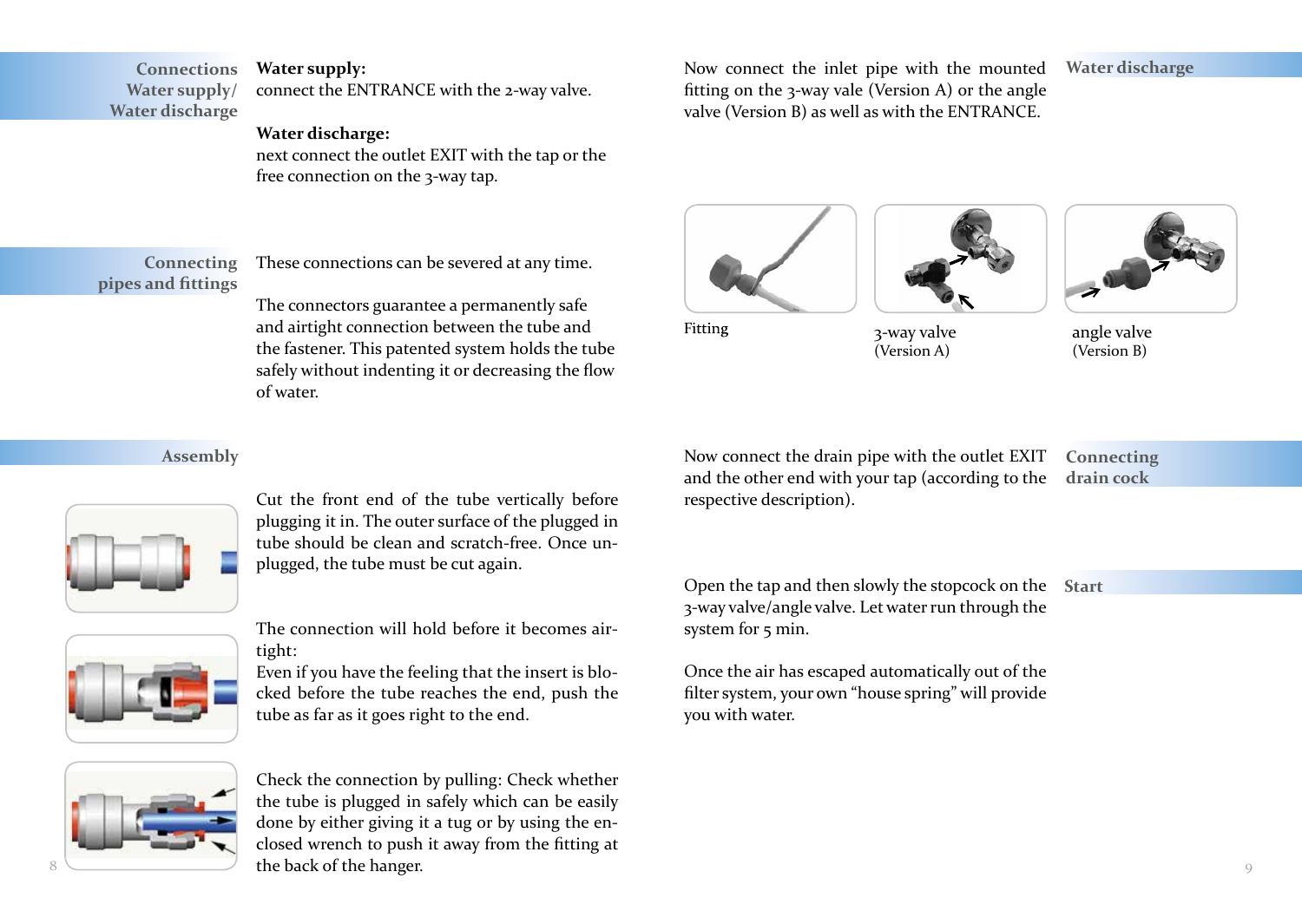#### **Water supply: Connections**

connect the ENTRANCE with the 2-way valve. **Water supply/ Water discharge**

#### **Water discharge:**

next connect the outlet EXIT with the tap or the free connection on the 3-way tap.

#### **Connecting pipes and fittings**

These connections can be severed at any time.

The connectors guarantee a permanently safe and airtight connection between the tube and the fastener. This patented system holds the tube safely without indenting it or decreasing the flow of water.

#### **Assembly**



Cut the front end of the tube vertically before plugging it in. The outer surface of the plugged in tube should be clean and scratch-free. Once unplugged, the tube must be cut again.



The connection will hold before it becomes airtight:

Even if you have the feeling that the insert is blocked before the tube reaches the end, push the tube as far as it goes right to the end.



 $8 \sim$  the back of the hanger. Check the connection by pulling: Check whether the tube is plugged in safely which can be easily done by either giving it a tug or by using the enclosed wrench to push it away from the fitting at

Now connect the inlet pipe with the mounted fitting on the 3-way vale (Version A) or the angle valve (Version B) as well as with the ENTRANCE.

#### **Water discharge**





3-way valve

(Version A)



angle valve (Version B)

Now connect the drain pipe with the outlet EXIT and the other end with your tap (according to the respective description).

**Connecting drain cock**

Open the tap and then slowly the stopcock on the **Start** 3-way valve/angle valve. Let water run through the system for 5 min.

Once the air has escaped automatically out of the filter system, your own "house spring" will provide you with water.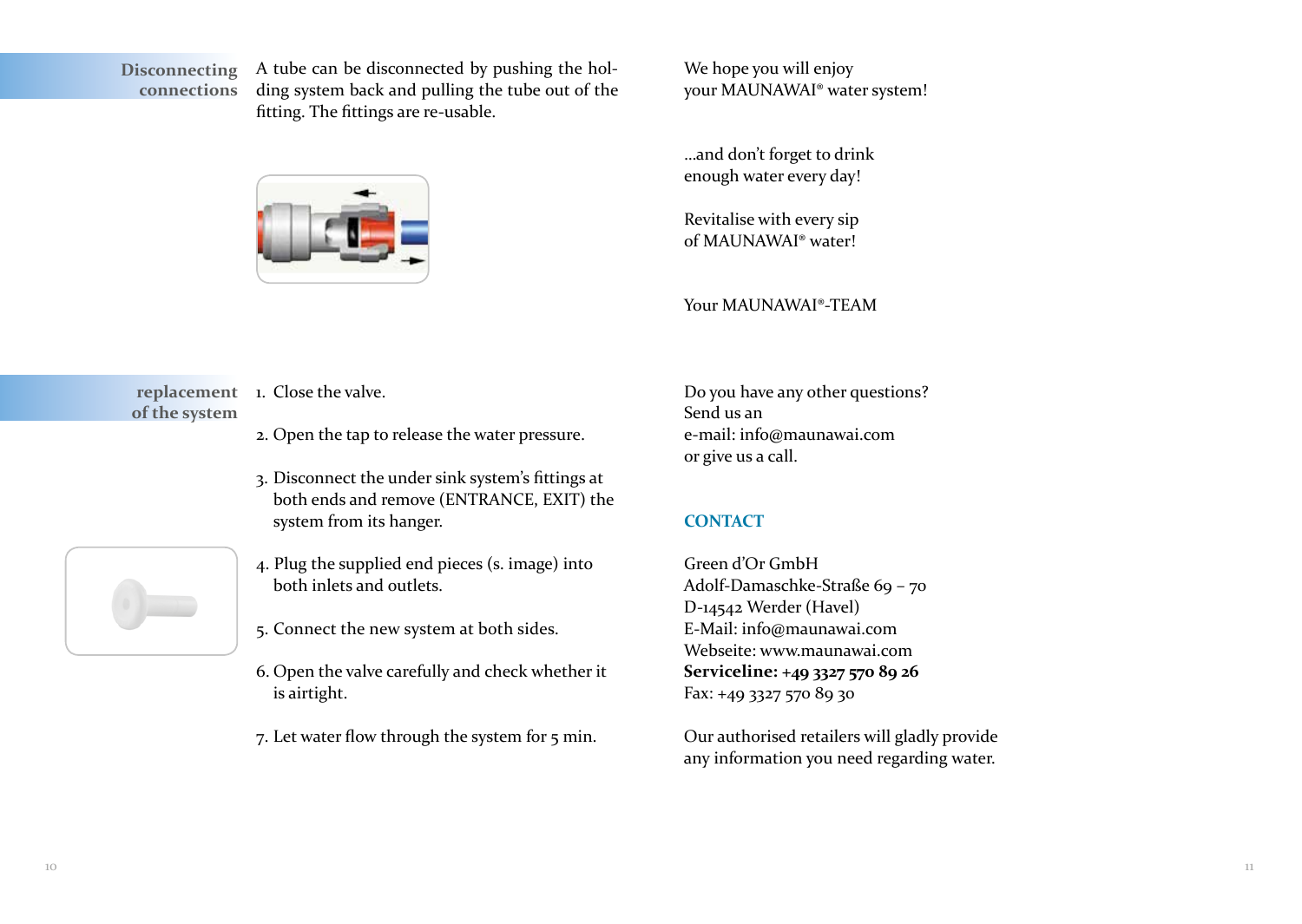**connections**

A tube can be disconnected by pushing the holding system back and pulling the tube out of the fitting. The fittings are re-usable. **Disconnecting** 



We hope you will enjoy your MAUNAWAI® water system!

…and don't forget to drink enough water every day!

Revitalise with every sip of MAUNAWAI® water!

Your MAUNAWAI®-TEAM

replacement 1. Close the valve. **of the system**

- 2. Open the tap to release the water pressure.
- 3. Disconnect the under sink system's fittings at both ends and remove (ENTRANCE, EXIT) the system from its hanger.
- 4. Plug the supplied end pieces (s. image) into both inlets and outlets.
- 5. Connect the new system at both sides.
- 6. Open the valve carefully and check whether it is airtight.
- 7. Let water flow through the system for 5 min.

Do you have any other questions? Send us an e-mail: info@maunawai.com or give us a call.

### **CONTACT**

Green d'Or GmbH Adolf-Damaschke-Straße 69 – 70 D-14542 Werder (Havel) E-Mail: info@maunawai.com Webseite: www.maunawai.com **Serviceline: +49 3327 570 89 26** Fax: +49 3327 570 89 30

Our authorised retailers will gladly provide any information you need regarding water.